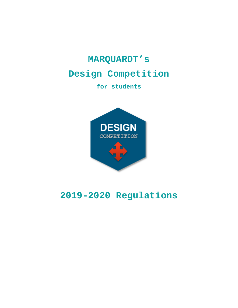# **MARQUARDT's**

# **Design Competition**

**for students** 



# **2019-2020 Regulations**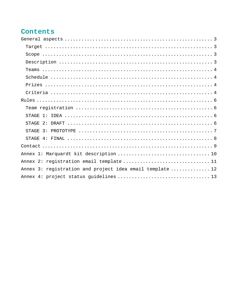## Contents

| <b>STAGE</b>                                              |
|-----------------------------------------------------------|
| $\overline{3}$ :<br>STAGE.                                |
|                                                           |
|                                                           |
|                                                           |
| Annex 2: registration email template  11                  |
| Annex 3: registration and project idea email template  12 |
|                                                           |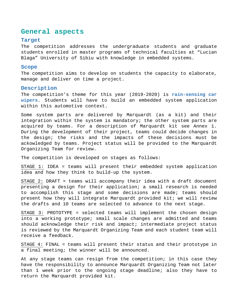## **General aspects**

## **Target**

The competition addresses the undergraduate students and graduate students enrolled in master programs of technical faculties at "Lucian Blaga" University of Sibiu with knowledge in embedded systems.

#### **Scope**

The competition aims to develop on students the capacity to elaborate, manage and deliver on time a project.

## **Description**

The competition's theme for this year (2019-2020) is **rain-sensing car wipers**. Students will have to build an embedded system application within this automotive context.

Some system parts are delivered by Marquardt (as a kit) and their integration within the system is mandatory; the other system parts are acquired by teams. For a description of Marquardt kit see Annex 1. During the development of their project, teams could decide changes in the design; the risks and the impacts of these decisions must be ackowledged by teams. Project status will be provided to the Marquardt Organizing Team for review.

The competition is developed on stages as follows:

STAGE 1: IDEA = teams will present their embedded system application idea and how they think to build-up the system.

STAGE 2: DRAFT = teams will accompany their idea with a draft document presenting a design for their application; a small research is needed to accomplish this stage and some decisions are made; teams should present how they will integrate Marquardt provided kit; we will review the drafts and 10 teams are selected to advance to the next stage.

STAGE 3: PROTOTYPE = selected teams will implement the chosen design into a working prototype; small scale changes are admitted and teams should acknowledge their risk and impact; intermediate project status is reviewed by the Marquardt Organizing Team and each student team will receive a feedback.

STAGE 4: FINAL = teams will present their status and their prototype in a final meeting; the winner will be announced.

At any stage teams can resign from the competition; in this case they have the responsibility to announce Marquardt Organizing Team not later than 1 week prior to the ongoing stage deadline; also they have to return the Marquardt provided kit.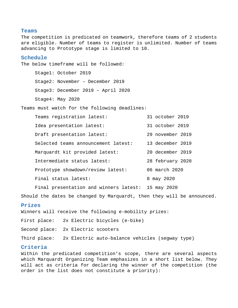## **Teams**

The competition is predicated on teamwork, therefore teams of 2 students are eligible. Number of teams to register is unlimited. Number of teams advancing to Prototype stage is limited to 10.

## **Schedule**

The below timeframe will be followed:

Stage1: October 2019

Stage2: November – December 2019

Stage3: December 2019 – April 2020

Stage4: May 2020

Teams must watch for the following deadlines:

| Teams registration latest:          | 31 october 2019  |
|-------------------------------------|------------------|
| Idea presentation latest:           | 31 october 2019  |
| Draft presentation latest:          | 29 november 2019 |
| Selected teams announcement latest: | 13 december 2019 |
| Marquardt kit provided latest:      | 20 december 2019 |
| Intermediate status latest:         | 28 february 2020 |
| Prototype showdown/review latest:   | 06 march 2020    |
| Final status latest:                | 8 may 2020       |

Final presentation and winners latest: 15 may 2020

Should the dates be changed by Marquardt, then they will be announced.

## **Prizes**

Winners will receive the following e-mobility prizes: First place: 2x Electric bicycles (e-bike) Second place: 2x Electric scooters Third place: 2x Electric auto-balance vehicles (segway type)

### **Criteria**

Within the predicated competition's scope, there are several aspects which Marquardt Organizing Team emphasizes in a short list below. They will act as criteria for declaring the winner of the competition (the order in the list does not constitute a priority):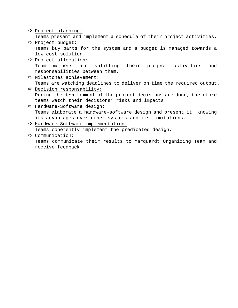```
\Rightarrow Project planning:
  Teams present and implement a schedule of their project activities. 
 Project budget: 
  Teams buy parts for the system and a budget is managed towards a 
  low cost solution. 
\Rightarrow Project allocation:
  Team members are splitting their project activities and 
  responsabilities between them. 
\Rightarrow Milestones achievement:
  Teams are watching deadlines to deliver on time the required output. 
\Rightarrow Decision responsability:
  During the development of the project decisions are done, therefore 
  teams watch their decisions' risks and impacts. 
\Rightarrow Hardware-Software design:
  Teams elaborate a hardware-software design and present it, knowing 
  its advantages over other systems and its limitations. 
\Rightarrow Hardware-Software implementation:
  Teams coherently implement the predicated design. 
\Rightarrow Communication:
```
Teams communicate their results to Marquardt Organizing Team and receive feedback.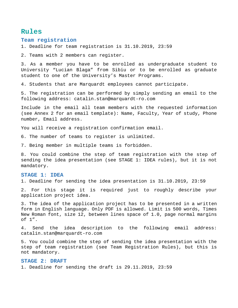## **Rules**

## **Team registration**

1. Deadline for team registration is 31.10.2019, 23:59

2. Teams with 2 members can register.

3. As a member you have to be enrolled as undergraduate student to University "Lucian Blaga" from Sibiu or to be enrolled as graduate student to one of the University's Master Programs.

4. Students that are Marquardt employees cannot participate.

5. The registration can be performed by simply sending an email to the following address: catalin.stan@marquardt-ro.com

Include in the email all team members with the requested information (see Annex 2 for an email template): Name, Faculty, Year of study, Phone number, Email address.

You will receive a registration confirmation email.

6. The number of teams to register is unlimited.

7. Being member in multiple teams is forbidden.

8. You could combine the step of team registration with the step of sending the idea presentation (see STAGE 1: IDEA rules), but it is not mandatory.

### **STAGE 1: IDEA**

1. Deadline for sending the idea presentation is 31.10.2019, 23:59

2. For this stage it is required just to roughly describe your application project idea.

3. The idea of the application project has to be presented in a written form in English language. Only PDF is allowed. Limit is 500 words, Times New Roman font, size 12, between lines space of 1.0, page normal margins of 1".

4. Send the idea description to the following email address: catalin.stan@marquardt-ro.com

5. You could combine the step of sending the idea presentation with the step of team registration (see Team Registration Rules), but this is not mandatory.

#### **STAGE 2: DRAFT**

1. Deadline for sending the draft is 29.11.2019, 23:59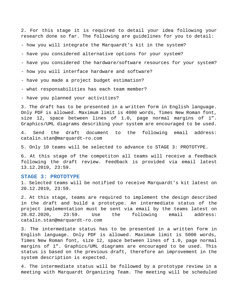2. For this stage it is required to detail your idea following your research done so far. The following are guidelines for you to detail:

- how you will integrate the Marquardt's kit in the system?

- have you considered alternative options for your system?

- have you considered the hardware/software resources for your system?

- how you will interface hardware and software?

- have you made a project budget estimation?

- what responsabilities has each team member?

- have you planned your activities?

3. The draft has to be presented in a written form in English language. Only PDF is allowed. Maximum limit is 4000 words, Times New Roman font, size 12, space between lines of 1.0, page normal margins of 1". Graphics/UML diagrams describing your system are encouraged to be used.

4. Send the draft document to the following email address: catalin.stan@marquardt-ro.com

5. Only 10 teams will be selected to advance to STAGE 3: PROTOTYPE.

6. At this stage of the competiton all teams will receive a feedback following the draft review. Feedback is provided via email latest 13.12.2019, 23:59.

#### **STAGE 3: PROTOTYPE**

1. Selected teams will be notified to receive Marquardt's kit latest on 20.12.2019, 23:59.

2. At this stage, teams are required to implement the design described in the draft and build a prototype. An intermediate status of the project implementation must be sent via email by the teams latest on 28.02.2020, 23:59. Use the following email address: catalin.stan@marquardt-ro.com

3. The intermediate status has to be presented in a written form in English language. Only PDF is allowed. Maximum limit is 5000 words, Times New Roman font, size 12, space between lines of 1.0, page normal margins of 1". Graphics/UML diagrams are encouraged to be used. This status is based on the previous draft, therefore an improvement in the system description is expected.

4. The intermediate status will be followed by a prototype review in a meeting with Marquardt Organizing Team. The meeting will be scheduled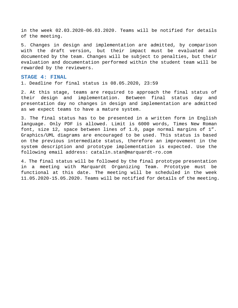in the week 02.03.2020-06.03.2020. Teams will be notified for details of the meeting.

5. Changes in design and implementation are admitted, by comparison with the draft version, but their impact must be evaluated and documented by the team. Changes will be subject to penalties, but their evaluation and documentation performed within the student team will be rewarded by the reviewers.

#### **STAGE 4: FINAL**

1. Deadline for final status is 08.05.2020, 23:59

2. At this stage, teams are required to approach the final status of their design and implementation. Between final status day and presentation day no changes in design and implementation are admitted as we expect teams to have a mature system.

3. The final status has to be presented in a written form in English language. Only PDF is allowed. Limit is 6000 words, Times New Roman font, size 12, space between lines of 1.0, page normal margins of 1". Graphics/UML diagrams are encouraged to be used. This status is based on the previous intermediate status, therefore an improvement in the system description and prototype implementation is expected. Use the following email address: catalin.stan@marquardt-ro.com

4. The final status will be followed by the final prototype presentation in a meeting with Marquardt Organizing Team. Prototype must be functional at this date. The meeting will be scheduled in the week 11.05.2020-15.05.2020. Teams will be notified for details of the meeting.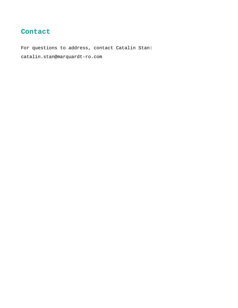## **Contact**

For questions to address, contact Catalin Stan: catalin.stan@marquardt-ro.com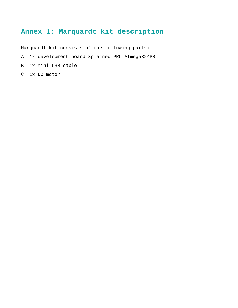## **Annex 1: Marquardt kit description**

Marquardt kit consists of the following parts:

- A. 1x development board Xplained PRO ATmega324PB
- B. 1x mini-USB cable
- C. 1x DC motor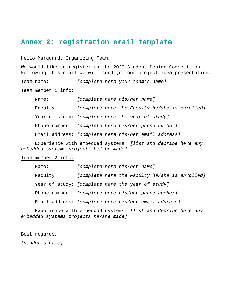## **Annex 2: registration email template**

Hello Marquardt Organizing Team,

We would like to register to the 2020 Student Design Competition. Following this email we will send you our project idea presentation.

Team name: [complete here your team's name]

Team member 1 info:

Name: [complete here his/her name] Faculty: [complete here the Faculty he/she is enrolled] Year of study: [complete here the year of study] Phone number: [complete here his/her phone number] Email address: [complete here his/her email address]

Experience with embedded systems: [list and decribe here any embedded systems projects he/she made]

Team member 2 info:

| Name:    |  | [complete here his/her name]                         |
|----------|--|------------------------------------------------------|
| Faculty: |  | [complete here the Faculty he/she is enrolled]       |
|          |  | Year of study: [complete here the year of study]     |
|          |  | Phone number: [complete here his/her phone number]   |
|          |  | Email address: [complete here his/her email address] |

Experience with embedded systems: [list and decribe here any embedded systems projects he/she made]

Best regards,

[sender's name]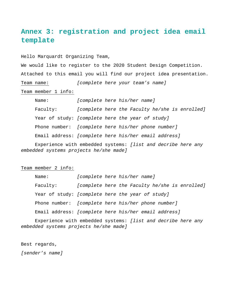# **Annex 3: registration and project idea email template**

Hello Marquardt Organizing Team,

We would like to register to the 2020 Student Design Competition. Attached to this email you will find our project idea presentation. Team name: [complete here your team's name]

Team member 1 info:

| Name:    | [complete here his/her name]                         |
|----------|------------------------------------------------------|
| Faculty: | [complete here the Faculty he/she is enrolled]       |
|          | Year of study: [complete here the year of study]     |
|          | Phone number: [complete here his/her phone number]   |
|          | Email address: [complete here his/her email address] |

Experience with embedded systems: [list and decribe here any embedded systems projects he/she made]

Team member 2 info:

| Name:    |  | [complete here his/her name]                         |
|----------|--|------------------------------------------------------|
| Faculty: |  | [complete here the Faculty he/she is enrolled]       |
|          |  | Year of study: [complete here the year of study]     |
|          |  | Phone number: [complete here his/her phone number]   |
|          |  | Email address: [complete here his/her email address] |

Experience with embedded systems: [list and decribe here any embedded systems projects he/she made]

Best regards,

[sender's name]